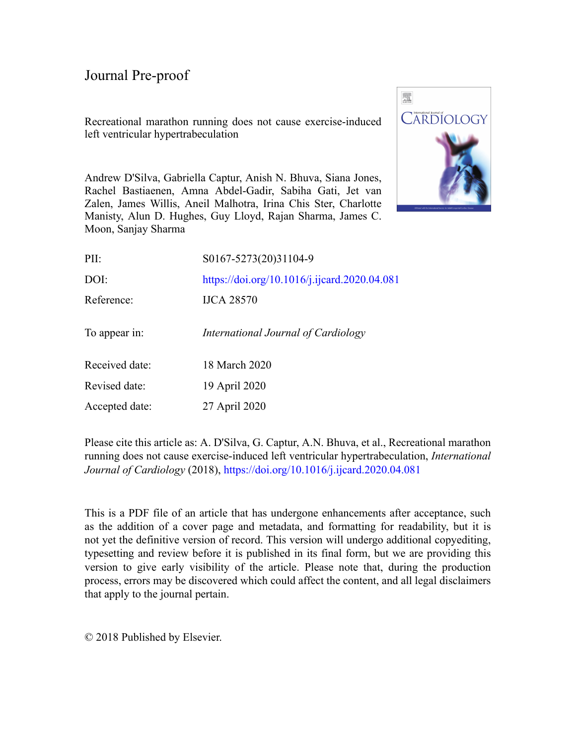Recreational marathon running does not cause exercise-induced left ventricular hypertrabeculation



Andrew D'Silva, Gabriella Captur, Anish N. Bhuva, Siana Jones, Rachel Bastiaenen, Amna Abdel-Gadir, Sabiha Gati, Jet van Zalen, James Willis, Aneil Malhotra, Irina Chis Ster, Charlotte Manisty, Alun D. Hughes, Guy Lloyd, Rajan Sharma, James C. Moon, Sanjay Sharma

| PII:           | S0167-5273(20)31104-9                        |
|----------------|----------------------------------------------|
| DOI:           | https://doi.org/10.1016/j.ijcard.2020.04.081 |
| Reference:     | <b>IJCA 28570</b>                            |
| To appear in:  | International Journal of Cardiology          |
| Received date: | 18 March 2020                                |
| Revised date:  | 19 April 2020                                |
| Accepted date: | 27 April 2020                                |

Please cite this article as: A. D'Silva, G. Captur, A.N. Bhuva, et al., Recreational marathon running does not cause exercise-induced left ventricular hypertrabeculation, *International Journal of Cardiology* (2018), <https://doi.org/10.1016/j.ijcard.2020.04.081>

This is a PDF file of an article that has undergone enhancements after acceptance, such as the addition of a cover page and metadata, and formatting for readability, but it is not yet the definitive version of record. This version will undergo additional copyediting, typesetting and review before it is published in its final form, but we are providing this version to give early visibility of the article. Please note that, during the production process, errors may be discovered which could affect the content, and all legal disclaimers that apply to the journal pertain.

© 2018 Published by Elsevier.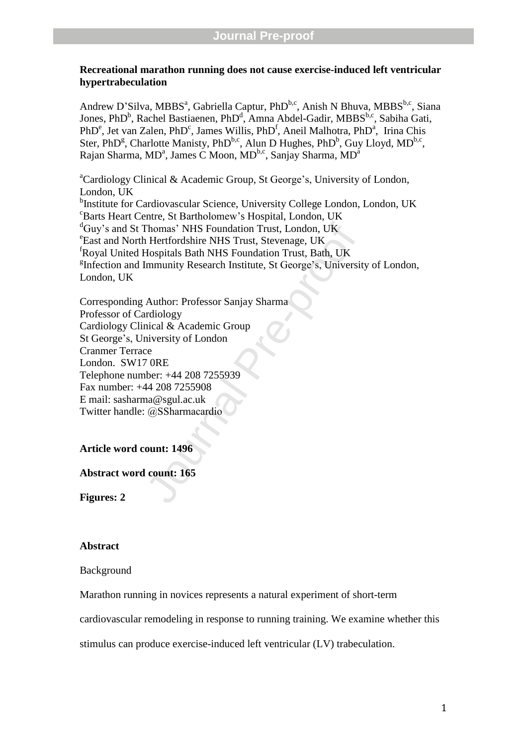### **Recreational marathon running does not cause exercise -induced left ventricular hypertrabeculation**

Andrew D'Silva, MBBS<sup>a</sup>, Gabriella Captur, PhD<sup>b,c</sup>, Anish N Bhuva, MBBS<sup>b,c</sup>, Siana Jones, PhD<sup>b</sup>, Rachel Bastiaenen, PhD<sup>d</sup>, Amna Abdel-Gadir, MBBS<sup>b,c</sup>, Sabiha Gati, PhD<sup>e</sup>, Jet van Zalen, PhD<sup>c</sup>, James Willis, PhD<sup>f</sup>, Aneil Malhotra, PhD<sup>a</sup>, Irina Chis Ster, PhD<sup>g</sup>, Charlotte Manisty, PhD<sup>b,c</sup>, Alun D Hughes, PhD<sup>b</sup>, Guy Lloyd, MD<sup>b,c</sup>, Rajan Sharma, MD<sup>a</sup>, James C Moon, MD<sup>b,c</sup>, Sanjay Sharma, MD<sup>a</sup>

<sup>a</sup>Cardiology Clinical & Academic Group, St George's, University of London, London, UK <sup>b</sup>Institute for Cardiovascular Science, University College London, London, UK <sup>c</sup>Barts Heart Centre, St Bartholomew's Hospital, London, UK <sup>d</sup>Guv's and St Thomas' NHS Foundation Trust, London, UK East and North Hertfordshire NHS Trust, Stevenage, UK <sup>f</sup>Royal United Hospitals Bath NHS Foundation Trust, Bath, UK <sup>g</sup>Infection and Immunity Research Institute, St George's, University of London, London, UK

Thomas' NHS Foundation Trust, London, UK<br>
1 Hertfordshire NHS Trust, Stevenage, UK<br>
Hospitals Bath NHS Foundation Trust, Bath, UK<br>
Immunity Research Institute, St George's, Universit<br>
Author: Professor Sanjay Sharma<br>
ardio Corresponding Author: Professor Sanjay Sharma Professor of Cardiology Cardiology Clinical & Academic Group St George's, University of London Cranmer Terrace London. SW17 0RE Telephone number: +44 208 7255939 Fax number: +44 208 7255908 E mail: sasharma@sgul.ac.uk Twitter handle: @SSharmacardio

**Article word count: 1496**

**Abstract word count: 16 5**

**Figures: 2**

### **Abstract**

Background

Marathon running in novices represents a natural experiment of short -term

cardiovascular remodeling in response to running training. We examine whether this

stimulus can produce exercise -induced left ventricular (LV) trabeculation.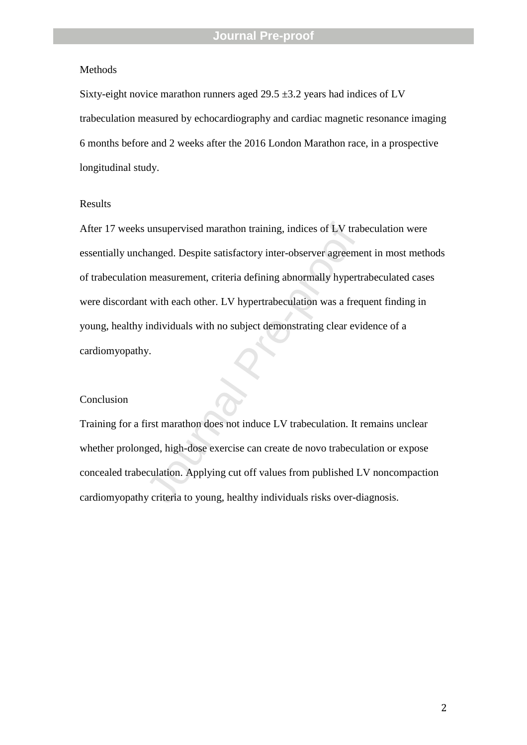### Methods

Sixty -eight novice marathon runners aged 29.5 ±3.2 years had indices of LV trabeculation measured by echocardiography and cardiac magnetic resonance imaging 6 months before and 2 weeks after the 2016 London Marathon race, in a prospective longitudinal study.

### Results

unsupervised marathon training, indices of LV trat<br>annged. Despite satisfactory inter-observer agreeme<br>neasurement, criteria defining abnormally hypertr<br>t with each other. LV hypertrabeculation was a freq<br>individuals with After 17 weeks unsupervised marathon training , indices of LV trabeculation were essentially unchanged . Despite satisfactory inter -observer agreement in most methods of trabeculation measurement, criteria defining abnormally hypertrabeculated cases were discordant with each other. LV hypertrabeculation was a frequent finding in young, healthy individuals with no subject demonstrating clear evidence of a cardiomyopathy.

#### Conclusion

Training for a first marathon does not induce LV trabeculation. It remains unclear whether prolonged, high -dose exercise can create de novo trabeculation or expose concealed trabeculation. Applying cut off values from published LV noncompaction cardiomyopathy criteria to young, healthy individuals risks over -diagnosis.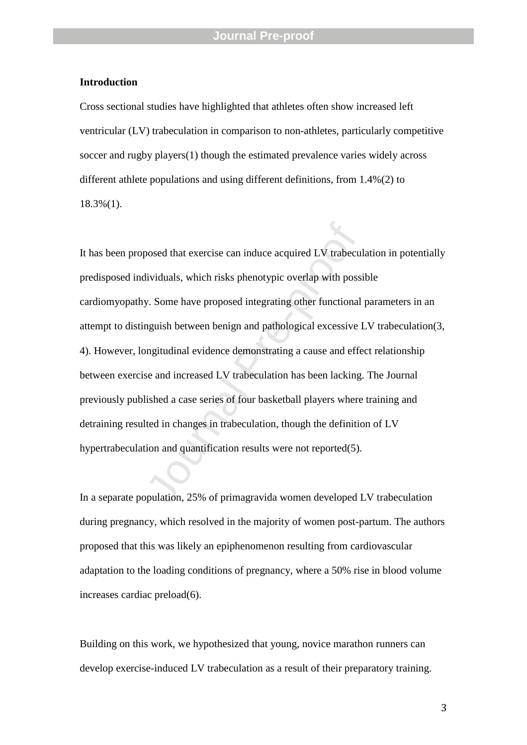### **Introduction**

Cross sectional studies have highlighted that athletes often show increased left ventricular (LV) trabeculation in comparison to non -athletes, particularly competitive soccer and rugby players(1) though the estimated prevalence varies widely across different athlete populations and using different definitions, from 1.4%(2) to 18.3 %(1) .

bosed that exercise can induce acquired LV trabecul<br>dividuals, which risks phenotypic overlap with possi-<br>y. Some have proposed integrating other functional<br>nguish between benign and pathological excessive l-<br>ngitudinal ev It has been proposed that exercise can induce acquired LV trabeculation in potentially predisposed individuals, which risks phenotypic overlap with possible cardiomyopathy. Some have proposed integrating other functional parameters in an attempt to distinguish between benign and pathological excessive LV trabeculation(3, 4) . However, longitudinal evidence demonstrating a cause and effect relationship between exercise and increased LV trabeculation has been lacking. The Journal previously published a case series of four basketball players where training and detraining resulted in changes in trabeculation , though the definition of LV hypertrabeculation and quantification results were not reported(5) .

In a separate population, 25% of primagravida women developed LV trabeculation during pregnancy, which resolved in the majority of women post -partum . The authors proposed that this was likely an epiphenomenon resulting from cardiovascular adaptation to the loading conditions of pregnancy , where a 50% rise in blood volume increases cardiac preload(6) .

Building on this work, we hypothesized that young, novice marathon runners can develop exercise-induced LV trabeculation as a result of their preparatory training.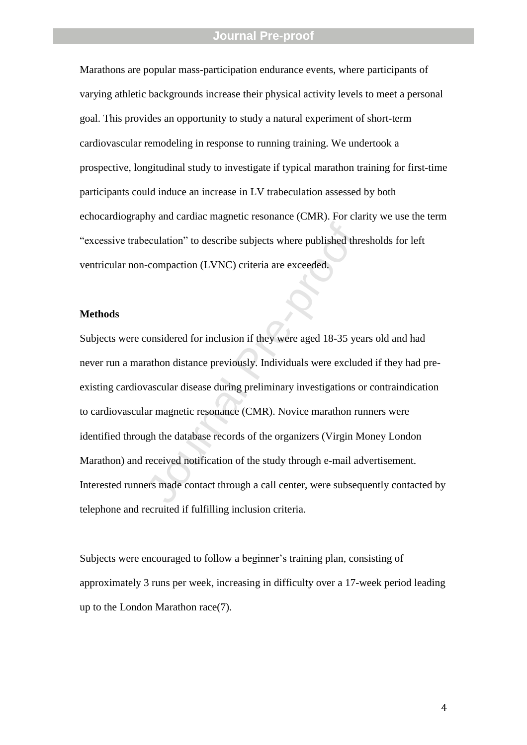Marathons are popular mass -participation endurance events, where participants of varying athletic backgrounds increase their physical activity levels to meet a personal goal. This provides an opportunity to study a natural experiment of short -term cardiovascular remodeling in response to running training . We undertook a prospective, longitudinal study to investigate if typical marathon training for first -time participants could induce an increase in LV trabeculation assessed by both echocardiography and cardiac magnetic resonance (CMR). For clarity we use the term "excessive trabeculation" to describe subjects where published thresholds for left ventricular non -compaction (LVNC ) criteria are exceeded.

### **Methods**

eculation" to describe subjects where published three<br>
-compaction (LVNC) criteria are exceeded.<br>
Somewhere aged 18-35 year<br>
considered for inclusion if they were aged 18-35 year<br>
crathon distance previously. Individuals w Subjects were considered for inclusion if they were aged 18 -35 years old and had never run a marathon distance previously. Individuals were excluded if they had pre existing cardiovascular disease during preliminary investigations or contraindication to cardiovascular magnetic resonance (CMR). Novice marathon runners were identified through the database records of the organizers (Virgin Money London Marathon) and received notification of the study through e -mail advertisement. Interested runners made contact through a call center , were subsequently contacted by telephone and recruited if fulfilling inclusion criteria.

Subjects were encouraged to follow a beginner's training plan, consisting of approximately 3 runs per week, increasing in difficulty over a 17 -week period leading up to the London Marathon race(7) .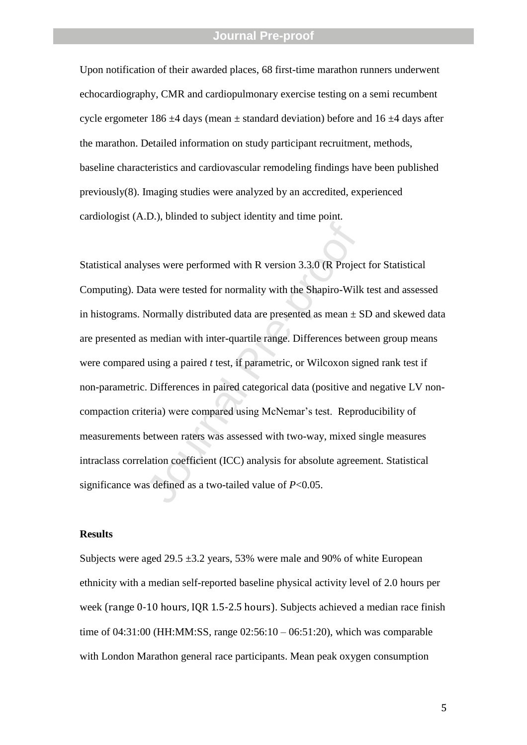Upon notification of their awarded places, 68 first -time marathon runners underwent echocardiography , CMR and cardiopulmonary exercise testing on a semi recumbent cycle ergometer 186  $\pm$ 4 days (mean  $\pm$  standard deviation) before and 16  $\pm$ 4 days after the marathon. Detailed information on study participant recruitment, methods , baseline characteristics and cardiovascular remodeling findings have been published previously(8). Imaging studies were analyzed by an accredited, experienced cardiologist (A.D.), blinded to subject identity and time point.

ses were performed with R version 3.3.0 (R Projection<br>ata were tested for normality with the Shapiro-Wilk<br>Normally distributed data are presented as mean  $\pm$  S<br>s median with inter-quartile range. Differences betw<br>using a Statistical analyses were performed with R version 3.3.0 (R Project for Statistical Computing). Data were tested for normality with the Shapiro -Wilk test and assessed in histograms. Normally distributed data are presented as mean  $\pm$  SD and skewed data are presented as median with inter -quartile range. Differences between group means were compared using a paired *t* test, if parametric, or Wilcoxon signed rank test if non -parametric. Differences in paired categorical data (positive and negative LV non compaction criteria) werecomparedusingMcNemar'stest. Reproducibility of measurements between raters was assessed with two -way, mixed single measures intraclass correlation coefficient (ICC) analysis for absolute agreement. Statistical significance was defined as a two -tailed value of *P*<0.05.

#### **Results**

Subjects were aged  $29.5 \pm 3.2$  years, 53% were male and 90% of white European ethnicity with a median self-reported baseline physical activity level of 2.0 hours per week (range 0 -10 hours, IQR 1.5 -2.5 hours ). Subjects achieved a median race finish time of 04:31:00 (HH:MM:SS, range 02:56:10 – 06:51:20), which was comparable with London Marathon general race participants . Mean peak oxygen consumption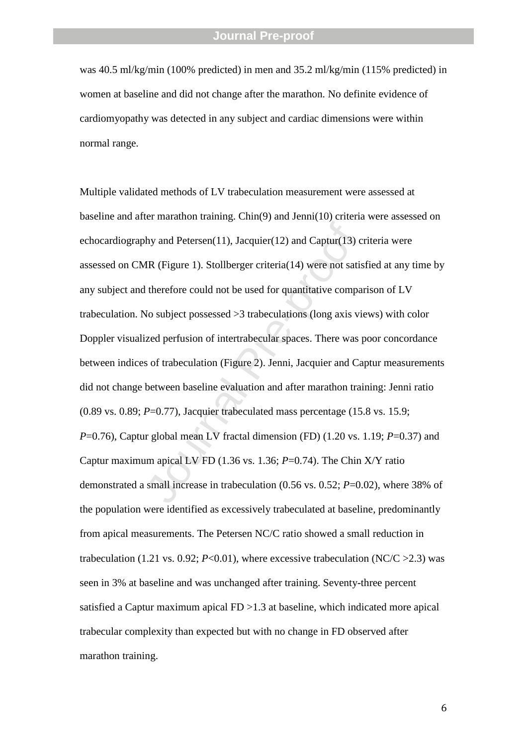was 40.5 ml/kg/min (100% predicted) in men and 35.2 ml/kg/min (115% predicted) in women at baseline and did not change after the marathon. No definite evidence of cardiomyopathy was detected in any subject and cardiac dimensions were within normal range .

hy and Petersen(11), Jacquier(12) and Captur(13) c<br>
1R (Figure 1). Stollberger criteria(14) were not satis<br>
1 therefore could not be used for quantitative compa<br>
1 No subject possessed >3 trabeculations (long axis vi<br>
1 i Multiple validated methods of LV trabeculation measurement were assessed at baseline and after marathon training. Chin(9) and Jenni(10) criteria were assessed on echocardiography and Petersen(11), Jacquier(12) and Captur(13) criteria were assessed on CMR (Figure 1). Stollberger criteria(14) were not satisfied at any time by any subject and therefore could not be used for quantitative comparison of LV trabeculation. No subject possessed >3 trabeculations (long axis views) with color Doppler visualized perfusion of intertrabecular spaces. There was poor concordance between indices of trabeculation (Figure 2). Jenni, Jacquier and Captur measurements did not change between baseline evaluation and after marathon training : Jenni ratio (0.89 vs. 0.89; *P*=0.77), Jacquier trabeculated mass percentage (15.8 vs. 15.9; *P*=0.76), Captur global mean LV fractal dimension (FD) (1.20 vs. 1.19; *P*=0.37) and Captur maximum apical LV FD (1.36 vs. 1.36; *P*=0.74). The Chin X/Y ratio demonstrated a small increase in trabeculation (0.56 vs. 0.52; *P*=0.02 ), where 38% of the population were identified as excessively trabeculated at baseline , predominantly from apical measurements. The Petersen NC/C ratio showed a small reduction in trabeculation  $(1.21 \text{ vs. } 0.92; P<0.01)$ , where excessive trabeculation  $(NC/C > 2.3)$  was seen in 3% at baseline and was unchanged after training. Seventy -three percent satisfied a Captur maximum apical FD > 1.3 at baseline, which indicated more apical trabecular complexity than expected but with no change in FD observed after marathon training .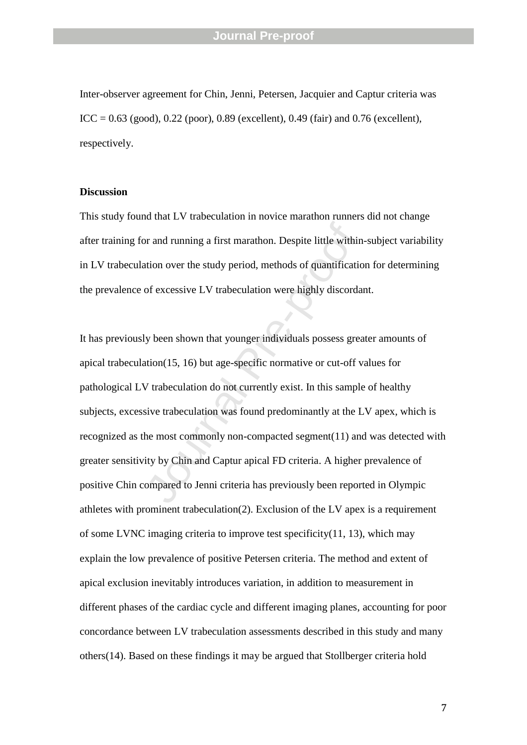Inter -observer agreement for Chin, Jenni, Petersen, Jacquier and Captur criteria was ICC = 0.63 (good), 0.22 (poor), 0.89 (excellent), 0.49 (fair) and 0.76 (excellent), respectively.

### **Discussion**

This study found that LV trabeculation in novice marathon runners did not change after training for and running a first marathon. Despite little within -subject variability in LV trabeculation over the study period , methods of quantification for determining the prevalence of excessive LV trabeculation were highly discordant .

or and running a first marathon. Despite little within<br>tion over the study period, methods of quantificatic<br>of excessive LV trabeculation were highly discorda<br>y been shown that younger individuals possess great<br>tion(15, 16 It has previously been shown that younger individuals possess greater amounts of apical trabeculation(15, 16) but age-specific normative or cut-off values for pathological LV trabeculation do not currently exist. In this sample of healthy subjects , excessive trabeculation was found predominantly at the LV apex, which is recognized as the most commonly non -compacted segment(11) and was detected with greater sensitivity by Chin and Captur apical FD criteria . A higher prevalence of positive Chin compared to Jenni criteria has previously been reported in Olympic athletes with prominent trabeculation(2) . Exclusion of the LV apex is a requirement of some LVNC imaging criteria to improve test specificity(11, 13), which may explain the low prevalence of positive Petersen criteria. The method and extent of apical exclusion inevitably introduces variation , in addition to measurement in different phases of the cardiac cycle and different imaging planes , accounting for poor concordance between LV trabeculation assessment s described in this study and many others(14) . Based on these findings it may be argued that Stollberger criteria hold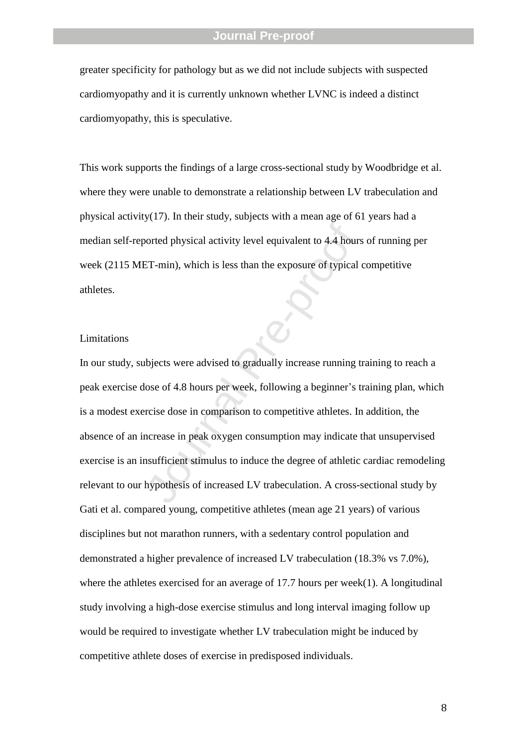greater specificity for pathology but as we did not include subjects with suspected cardiomyopathy and it is currently unknown whether LVNC is indeed a distinct cardiomyopathy, this is speculative.

This work supports the findings of a large cross -sectional study by Woodbridge et al. where they were unable to demonstrate a relationship between LV trabeculation and physical activity(17). In their study, subjects with a mean age of 61 years had a median self-reported physical activity level equivalent to 4.4 hours of running per week (2115 MET -min ) , which is less than the exposure of typical competitive athletes.

### Limitations

Formal physical activity level equivalent to 4.4 hours<br>
Formal, which is less than the exposure of typical<br>
different of typical of typical<br>
pre-proof 4.8 hours per week, following a beginner's trace<br>
provide the compariso In our study , subjects were advised to gradually increase running training to reach a peak exercise dose of 4.8 hours per week, following a beginner 's training plan, which is a modest exercise dose in comparison to competitive athletes . In addition, the absence of an increase in peak oxygen consumption may indicate that unsupervised exercise is an insufficient stimulus to induce the degree of athletic cardiac remodeling relevant to our hypothesis of increased LV trabeculation . A cross -sectional study by Gati et al. compared young, competitive athletes (mean age 21 years) of various disciplines but not marathon runners , with a sedentary control population and demonstrated a higher prevalence of increased LV trabeculation (18.3% vs 7.0%), where the athletes exercised for an average of 17.7 hours per week(1). A longitudinal study involving a high -dose exercise stimulus and long interval imaging follow up would be required to investigate whether LV trabeculation might be induced by competitive athlete doses of exercise in predisposed individuals .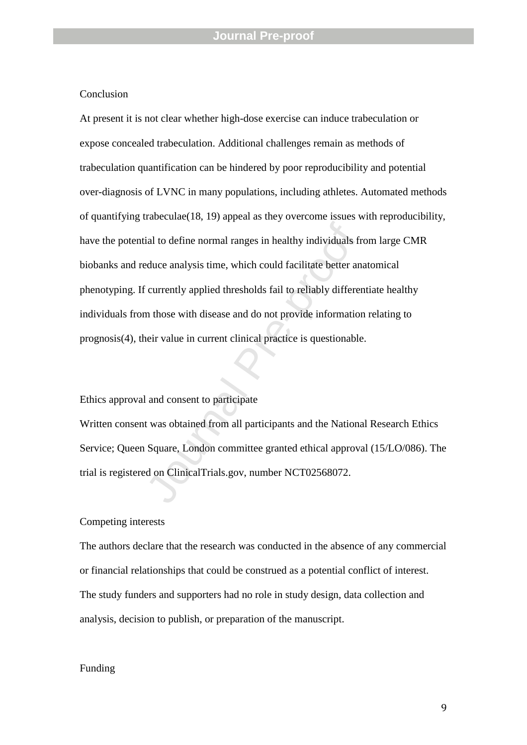### **Conclusion**

ial to define normal ranges in healthy individuals freduce analysis time, which could facilitate better an<br>
Feduce analysis time, which could facilitate better an<br>
Feduce analysis time, which could facilitate better an<br>
Fe At present it is not clear whether high -dose exercise can induce trabeculation or expose concealed trabeculation . Additional challenges remain as methods of trabeculation quantification can be hindered by poor reproducibility and potential over -diagnosis of LVNC in many populations, including athletes. Automated methods of quantifying trabeculae(18, 19) appeal as they overcome issues with reproducibility, have the potential to define normal ranges in healthy individuals from large CMR biobanks and reduce analysis time, which could facilitate better anatomical phenotyping. If currently applied thresholds fail to reliably differentiate healthy individuals from those with disease and do not provide information relating to prognosis(4), their value in current clinical practice is questionable .

#### Ethics approval and consent to participate

Written consent was obtained from all participants and the National Research Ethics Service; Queen Square, London committee granted ethical approval (15/LO/086). The trial is registered on ClinicalTrials.gov, number NCT02568072.

### Competing interests

The authors declare that the research was conducted in the absence of any commercial or financial relationships that could be construed as a potential conflict of interest. The study funders and supporters had no role in study design, data collection and analysis, decision to publish, or preparation of the manuscript.

#### Funding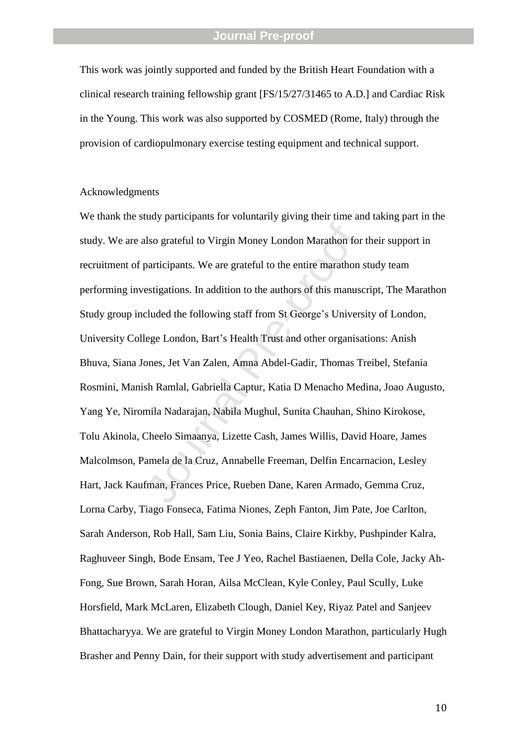This work was jointly supported and funded by the British Heart Foundation with a clinical research training fellowship grant [FS/15/27/31465 to A.D.] and Cardiac Risk in the Young. This work was also supported by COSMED (Rome, Italy) through the provision of cardiopulmonary exercise testing equipment and technical support.

### Acknowledgments

Free Transactions Islam Money London Marathon for<br>participants. We are grateful to the entire marathon<br>estigations. In addition to the authors of this manuse<br>cluded the following staff from St George's Univers<br>lege London, We thank the study participants for voluntarily giving their time and taking part in the study. We are also grateful to Virgin Money London Marathon for their support in recruitment of participants. We are grateful to the entire marathon study team performing investigations. In addition to the authors of this manuscript, The Marathon Study group included the following staff from St George's University of London, University College London, Bart' s Health Trust and other organisations: Anish Bhuva, Siana Jones, Jet Van Zalen, Amna Abdel -Gadir, Thomas Treibel, Stefania Rosmini, Manish Ramlal, Gabriella Captur, Katia D Menacho Medina, Joao Augusto, Yang Ye, Niromila Nadarajan, Nabila Mughul, Sunita Chauhan, Shino Kirokose, Tolu Akinola, Cheelo Simaanya, Lizette Cash, James Willis, David Hoare, James Malcolmson, Pamela de la Cruz, Annabelle Freeman, Delfin Encarnacion, Lesley Hart, Jack Kaufman, Frances Price, Rueben Dane, Karen Armado, Gemma Cruz, Lorna Carby, Tiago Fonseca, Fatima Niones, Zeph Fanton, Jim Pate, Joe Carlton, Sarah Anderson, Rob Hall, Sam Liu, Sonia Bains, Claire Kirkby, Pushpinder Kalra, Raghuveer Singh, Bode Ensam, Tee J Yeo, Rachel Bastiaenen, Della Cole, Jacky Ah - Fong, Sue Brown, Sarah Horan, Ailsa McClean, Kyle Conley, Paul Scully, Luke Horsfield, Mark McLaren, Elizabeth Clough, Daniel Key, Riyaz Patel and Sanjeev Bhattacharyya. We are grateful to Virgin Money London Marathon, particularly Hugh Brasher and Penny Dain, for their support with study advertisement and participant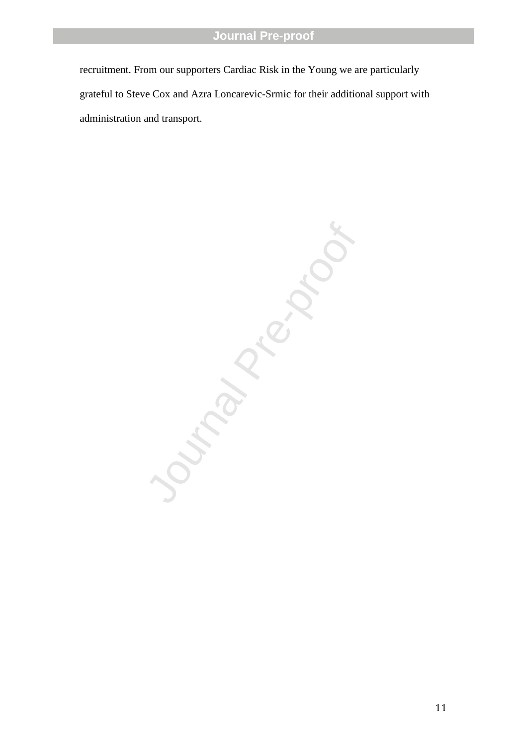recruitment. From our supporters Cardiac Risk in the Young we are particularly grateful to Steve Cox and Azra Loncarevic -Srmic for their additional support with administration and transport.

Journal Pre-proof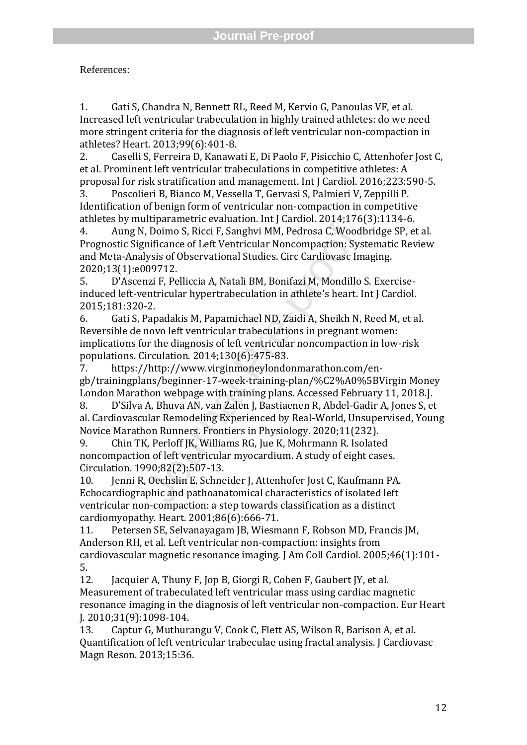References:

1. Gati S, Chandra N, Bennett RL, Reed M, Kervio G, Panoulas VF, et al. Increased left ventricular trabeculation in highly trained athletes: do we need more stringent criteria for the diagnosis of left ventricular non -compaction in athletes? Heart. 2013;99(6):401 -8.

2. Caselli S, Ferreira D, Kanawati E, Di Paolo F, Pisicchio C, Attenhofer Jost C, et al. Prominent left ventricular trabeculations in competitive athletes: A proposal for risk stratification and management. Int J Cardiol. 2016;223:590 -5.

3. Poscolieri B, Bianco M, Vessella T, Gervasi S, Palmieri V, Zeppilli P. Identification of benign form of ventricular non -compaction in competitive athletes by multiparametric evaluation. Int J Cardiol. 2014;176(3):1134 -6.

4. Aung N, Doimo S, Ricci F, Sanghvi MM, Pedrosa C, Woodbridge SP, et al. Prognostic Significance of Left Ventricular Noncompaction: Systematic Review and Meta -Analysis of Observational Studies. Circ Cardiovasc Imaging. 2020;13(1):e009712.

5. D'Ascenzi F, Pelliccia A, Natali BM, Bonifazi M, Mondillo S. Exercise induced left -ventricular hypertrabeculation in athlete's heart. Int J Cardiol. 2015;181:320 -2.

where we was a point of the Samply MM, Pedrosa C, Wood<br>nificance of Left Ventricular Noncompaction: System inficance of Left Ventricular Noncompaction: Sys<br>lysis of Observational Studies. Circ Cardiovasc In<br>199712.<br>nzi F, 6. Gati S, Papadakis M, Papamichael ND, Zaidi A, Sheikh N, Reed M, et al. Reversible de novo left ventricular trabeculations in pregnant women: implications for the diagnosis of left ventricular noncompaction in low -risk populations. Circulation. 2014;130(6):475 -83.

7. https://http://www.virginmoneylondonmarathon.com/en gb/trainingplans/beginner -17 -week -training -plan/%C2%A0%5BVirgin Money London Marathon webpage with training plans. Accessed February 11, 2018.].

8. D'Silva A, Bhuva AN, van Zalen J, Bastiaenen R, Abdel -Gadir A, Jones S, et al. Cardiovascular Remodeling Experienced by Real -World, Unsupervised, Young Novice Marathon Runners. Frontiers in Physiology. 2020;11(232).

9. Chin TK, Perloff JK, Williams RG, Jue K, Mohrmann R. Isolated noncompaction of left ventricular myocardium. A study of eight cases. Circulation. 1990;82(2):507 -13.

10. Jenni R, Oechslin E, Schneider J, Attenhofer Jost C, Kaufmann PA. Echocardiographic and pathoanatomical characteristics of isolated left ventricular non -compaction: a step towards classification as a distinct cardiomyopathy. Heart. 2001;86(6):666 -71.

11. Petersen SE, Selvanayagam JB, Wiesmann F, Robson MD, Francis JM, Anderson RH, et al. Left ventricular non -compaction: insights from cardiovascular magnetic resonance imaging. J Am Coll Cardiol. 2005;46(1):101 - 5.

12. Jacquier A, Thuny F, Jop B, Giorgi R, Cohen F, Gaubert JY, et al. Measurement of trabeculated left ventricular mass using cardiac magnetic resonance imaging in the diagnosis of left ventricular non -compaction. Eur Heart J. 2010;31(9):1098 -104.

13. Captur G, Muthurangu V, Cook C, Flett AS, Wilson R, Barison A, et al. Quantification of left ventricular trabeculae using fractal analysis. J Cardiovasc Magn Reson. 2013;15:36.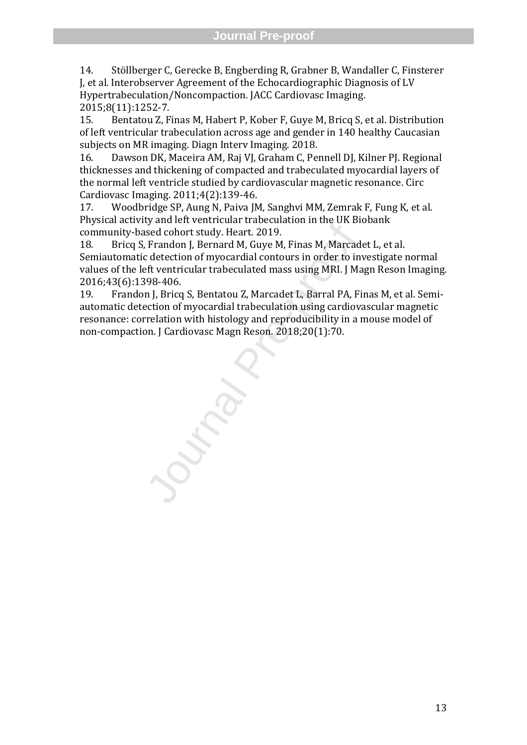14. Stöllberger C, Gerecke B, Engberding R, Grabner B, Wandaller C, Finsterer J, et al. Interobserver Agreement of the Echocardiographic Diagnosis of LV Hypertrabeculation/Noncompaction. JACC Cardiovasc Imaging. 2015;8(11):1252 -7.

15. Bentatou Z, Finas M, Habert P, Kober F, Guye M, Bricq S, et al. Distribution of left ventricular trabeculation across age and gender in 140 healthy Caucasian subjects on MR imaging. Diagn Interv Imaging. 2018.

16. Dawson DK, Maceira AM, Raj VJ, Graham C, Pennell DJ, Kilner PJ. Regional thicknesses and thickening of compacted and trabeculated myocardial layers of the normal left ventricle studied by cardiovascular magnetic resonance. Circ Cardiovasc Imaging. 2011;4(2):139 -46.

17. Woodbridge SP, Aung N, Paiva JM, Sanghvi MM, Zemrak F, Fung K, et al. Physical activity and left ventricular trabeculation in the UK Biobank community -based cohort study. Heart. 2019.

by an encreased and two Heart. 2019.<br>Ised cohort study. Heart. 2019.<br>Trandon J, Bernard M, Guye M, Finas M, Marcad<br>c detection of myocardial contours in order to inferent ventricular trabeculated mass using MRI. J Ma<br>998-4 18. Bricq S, Frandon J, Bernard M, Guye M, Finas M, Marcadet L, et al. Semiautomatic detection of myocardial contours in order to investigate normal values of the left ventricular trabeculated mass using MRI. J Magn Reson Imaging. 2016;43(6):1398 -406.

19. Frandon J, Bricq S, Bentatou Z, Marcadet L, Barral PA, Finas M, et al. Semi automatic detection of myocardial trabeculation using cardiovascular magnetic resonance: correlation with histology and reproducibility in a mouse model of non -compaction. J Cardiovasc Magn Reson. 2018;20(1):70.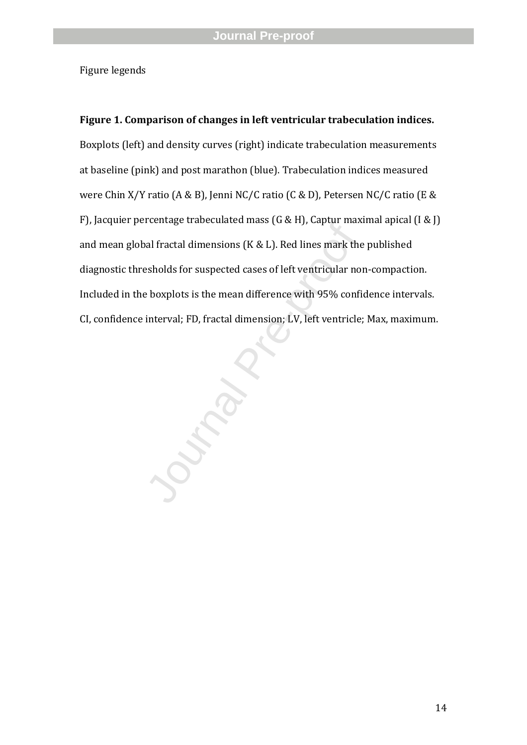Figure legend s

beeninge discolantied mass (et d.f.), super mass<br>all fractal dimensions (K & L). Red lines mark the<br>esholds for suspected cases of left ventricular no<br>boxplots is the mean difference with 95% confi<br>interval; FD, fractal di **Figure 1. Comparison of changes in left ventricular trabeculation indices.**  Boxplots (left) and density curves (right) indicate trabeculation measurements at baseline (pink) and post marathon (blue). Trabeculation indices measured were Chin X/Y ratio (A & B), Jenni NC/C ratio (C & D), Petersen NC/C ratio (E & F), Jacquier percentage trabeculated mass (G & H), Captur maximal apical (I & J) and mean global fractal dimensions (K & L). Red line s mark the published diagnostic threshold s for suspected cases of left ventricular non -compaction. Included in the boxplots is the mean difference with 95% confidence intervals. CI, confidence interval; FD, fractal dimension; LV, left ventricle; Max, maximum.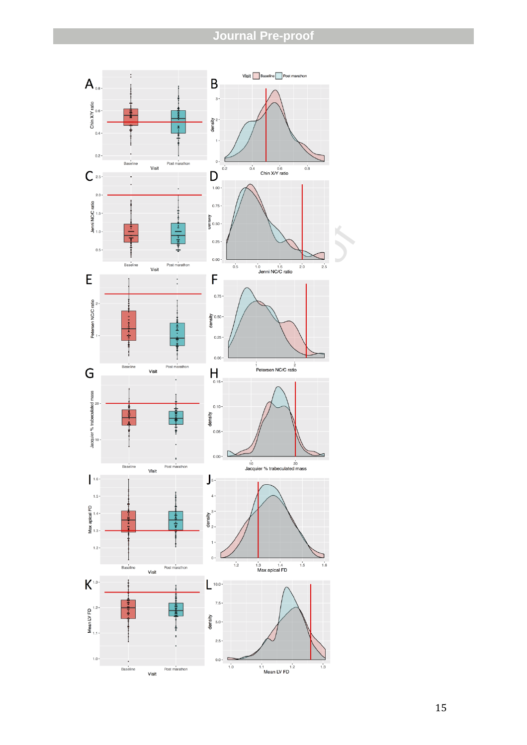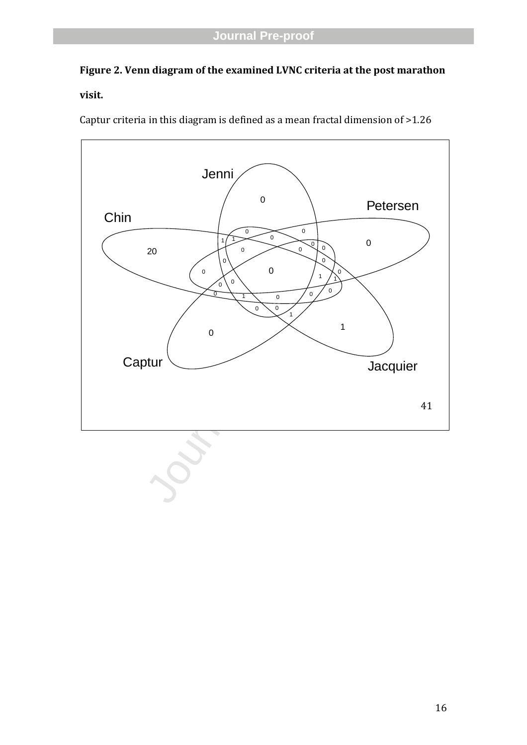# **Figure 2. Venn diagram of the examined LVNC criteria at the post marathon**

# **visit.**

Captur criteria in this diagram is defined as a mean fractal dimension of >1.26

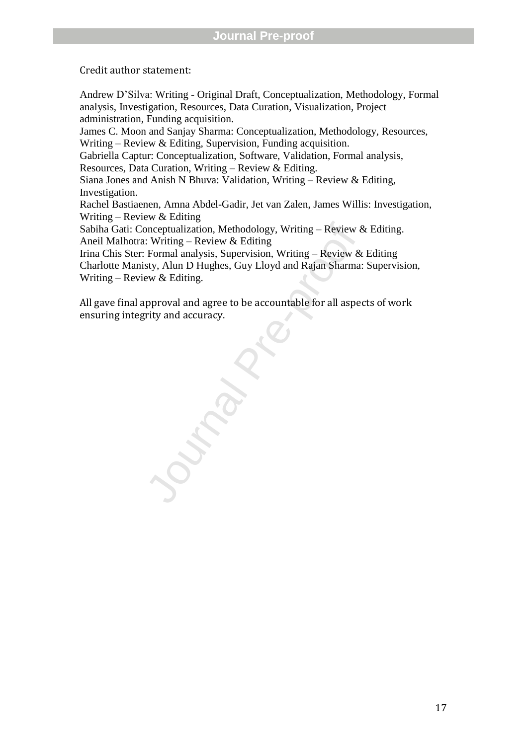### Credit author statement:

onceptualization, Methodology, Writing – Review &<br>  $\therefore$  Writing – Review & Editing<br>
Formal analysis, Supervision, Writing – Review &<br>
sty, Alun D Hughes, Guy Lloyd and Rajan Sharma:<br>
ew & Editing.<br>
pproval and agree to be Andrew D'Silva: Writing - Original Draft, Conceptualization, Methodology, Formal analysis, Investigation, Resources, Data Curation, Visualization, Project administration, Funding acquisition. James C. Moon and Sanjay Sharma: Conceptualization, Methodology, Resources, Writing – Review & Editing, Supervision, Funding acquisition. Gabriella Captur: Conceptualization, Software, Validation, Formal analysis, Resources, Data Curation, Writing – Review & Editing. Siana Jones and Anish N Bhuva: Validation, Writing – Review & Editing, Investigation. Rachel Bastiaenen, Amna Abdel -Gadir, Jet van Zalen, James Willis: Investigation, Writing – Review & Editing Sabiha Gati: Conceptualization, Methodology, Writing – Review & Editing. Aneil Malhotra: Writing – Review & Editing Irina Chis Ster: Formal analysis, Supervision, Writing – Review & Editing Charlotte Manisty, Alun D Hughes, Guy Lloyd and Rajan Sharma: Supervision, Writing – Review & Editing.

All gave final approval and agree to be accountable for all aspects of work ensuring integrity and accuracy.